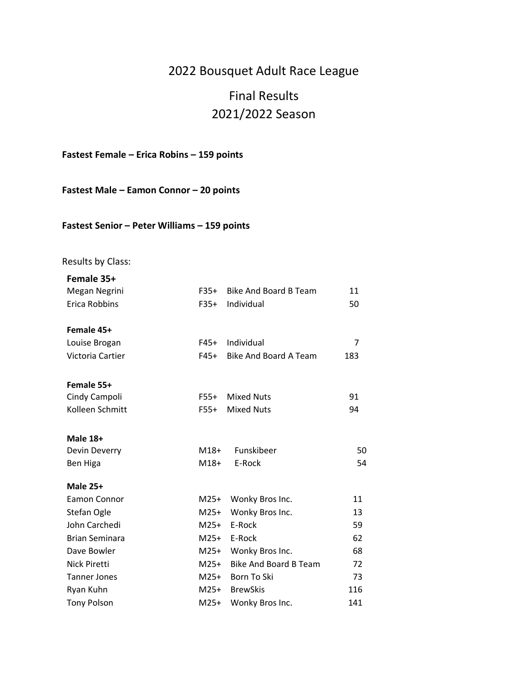## 2022 Bousquet Adult Race League

## Final Results 2021/2022 Season

**Fastest Female – Erica Robins – 159 points**

**Fastest Male – Eamon Connor – 20 points**

#### **Fastest Senior – Peter Williams – 159 points**

#### Results by Class:

| Female 35+            |        |                              |     |
|-----------------------|--------|------------------------------|-----|
| Megan Negrini         | $F35+$ | <b>Bike And Board B Team</b> | 11  |
| Erica Robbins         | F35+   | Individual                   | 50  |
| Female 45+            |        |                              |     |
| Louise Brogan         | F45+   | Individual                   | 7   |
| Victoria Cartier      | F45+   | <b>Bike And Board A Team</b> | 183 |
| Female 55+            |        |                              |     |
| Cindy Campoli         | F55+   | <b>Mixed Nuts</b>            | 91  |
| Kolleen Schmitt       | F55+   | <b>Mixed Nuts</b>            | 94  |
| <b>Male 18+</b>       |        |                              |     |
| Devin Deverry         | M18+   | Funskibeer                   | 50  |
| Ben Higa              | M18+   | E-Rock                       | 54  |
| <b>Male 25+</b>       |        |                              |     |
| <b>Eamon Connor</b>   | M25+   | Wonky Bros Inc.              | 11  |
| Stefan Ogle           | $M25+$ | Wonky Bros Inc.              | 13  |
| John Carchedi         | $M25+$ | E-Rock                       | 59  |
| <b>Brian Seminara</b> |        | M25+ E-Rock                  | 62  |
| Dave Bowler           | M25+   | Wonky Bros Inc.              | 68  |
| <b>Nick Piretti</b>   | M25+   | <b>Bike And Board B Team</b> | 72  |
| <b>Tanner Jones</b>   | M25+   | Born To Ski                  | 73  |
| Ryan Kuhn             |        | M25+ BrewSkis                | 116 |
| <b>Tony Polson</b>    | $M25+$ | Wonky Bros Inc.              | 141 |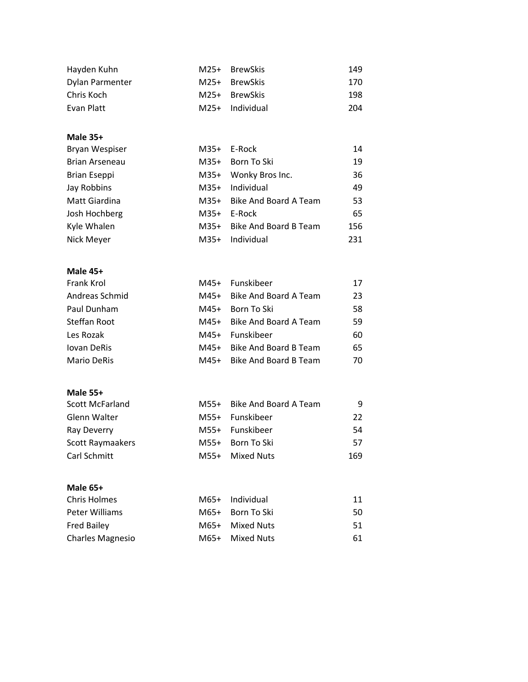| Hayden Kuhn     | M25+ BrewSkis   | 149 |
|-----------------|-----------------|-----|
| Dylan Parmenter | M25+ BrewSkis   | 170 |
| Chris Koch      | M25+ BrewSkis   | 198 |
| Evan Platt      | M25+ Individual | 204 |

# **Male 35+**

| Bryan Wespiser      |        | M35+ E-Rock                | 14  |
|---------------------|--------|----------------------------|-----|
| Brian Arseneau      | $M35+$ | Born To Ski                | 19  |
| <b>Brian Eseppi</b> | $M35+$ | Wonky Bros Inc.            | 36  |
| Jay Robbins         | $M35+$ | Individual                 | 49  |
| Matt Giardina       |        | M35+ Bike And Board A Team | 53  |
| Josh Hochberg       | $M35+$ | E-Rock                     | 65  |
| Kyle Whalen         |        | M35+ Bike And Board B Team | 156 |
| Nick Meyer          | $M35+$ | Individual                 | 231 |
|                     |        |                            |     |

#### **Male 45+**

| M45+ Bike And Board A Team<br>Andreas Schmid |    |
|----------------------------------------------|----|
|                                              | 23 |
| Paul Dunham<br>M45+ Born To Ski              | 58 |
| Steffan Root<br>M45+ Bike And Board A Team   | 59 |
| Les Rozak<br>M45+ Funskibeer                 | 60 |
| M45+ Bike And Board B Team<br>Jovan DeRis    | 65 |
| M45+ Bike And Board B Team<br>Mario DeRis    | 70 |

#### **Male 55+**

| <b>Scott McFarland</b> | M55+ Bike And Board A Team | 9   |
|------------------------|----------------------------|-----|
| Glenn Walter           | M55+ Funskibeer            | 22  |
| Ray Deverry            | M55+ Funskibeer            | 54  |
| Scott Raymaakers       | M55+ Born To Ski           | 57  |
| Carl Schmitt           | M55+ Mixed Nuts            | 169 |

#### **Male 65+**

| Chris Holmes       | M65+ Individual  | 11 |
|--------------------|------------------|----|
| Peter Williams     | M65+ Born To Ski | 50 |
| <b>Fred Bailey</b> | M65+ Mixed Nuts  | 51 |
| Charles Magnesio   | M65+ Mixed Nuts  | 61 |